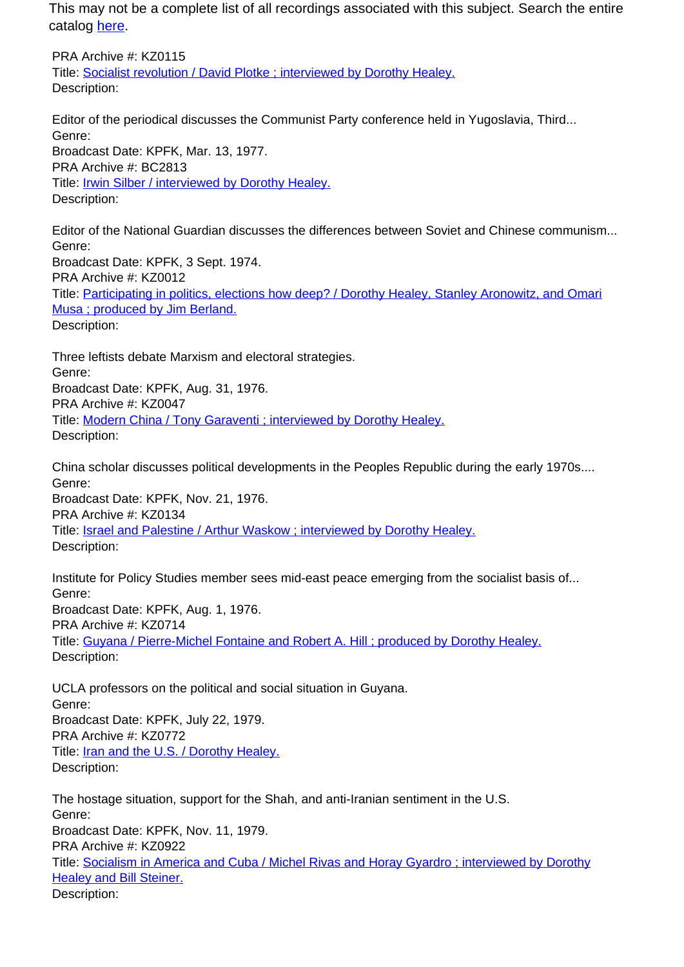PRA Archive #: KZ0115 Title: Socialist revolution / David Plotke ; interviewed by Dorothy Healey. Description:

Editor of the periodical discusses the Communist Party conference held in Yugoslavia, Third... Genre: Broadcast Date: KPFK, Mar. 13, 1977. PRA Archive #: BC2813 Title: **Irwin Silber / interviewed by Dorothy Healey.** Description:

Editor of the National Guardian discusses the differences between Soviet and Chinese communism... Genre: Broadcast Date: KPFK, 3 Sept. 1974. PRA Archive #: KZ0012 Title: Participating in politics, elections how deep? / Dorothy Healey, Stanley Aronowitz, and Omari Musa ; produced by Jim Berland. Description:

Three leftists debate Marxism and electoral strategies. Genre: Broadcast Date: KPFK, Aug. 31, 1976. PRA Archive #: KZ0047 Title: Modern China / Tony Garaventi ; interviewed by Dorothy Healey. Description:

China scholar discusses political developments in the Peoples Republic during the early 1970s.... Genre: Broadcast Date: KPFK, Nov. 21, 1976.

PRA Archive #: KZ0134

Title: **Israel and Palestine / Arthur Waskow** ; interviewed by Dorothy Healey. Description:

Institute for Policy Studies member sees mid-east peace emerging from the socialist basis of... Genre: Broadcast Date: KPFK, Aug. 1, 1976. PRA Archive #: KZ0714 Title: Guyana / Pierre-Michel Fontaine and Robert A. Hill ; produced by Dorothy Healey. Description:

UCLA professors on the political and social situation in Guyana. Genre: Broadcast Date: KPFK, July 22, 1979. PRA Archive #: KZ0772 Title: Iran and the U.S. / Dorothy Healey. Description:

The hostage situation, support for the Shah, and anti-Iranian sentiment in the U.S. Genre: Broadcast Date: KPFK, Nov. 11, 1979. PRA Archive #: KZ0922 Title: Socialism in America and Cuba / Michel Rivas and Horay Gyardro ; interviewed by Dorothy Healey and Bill Steiner. Description: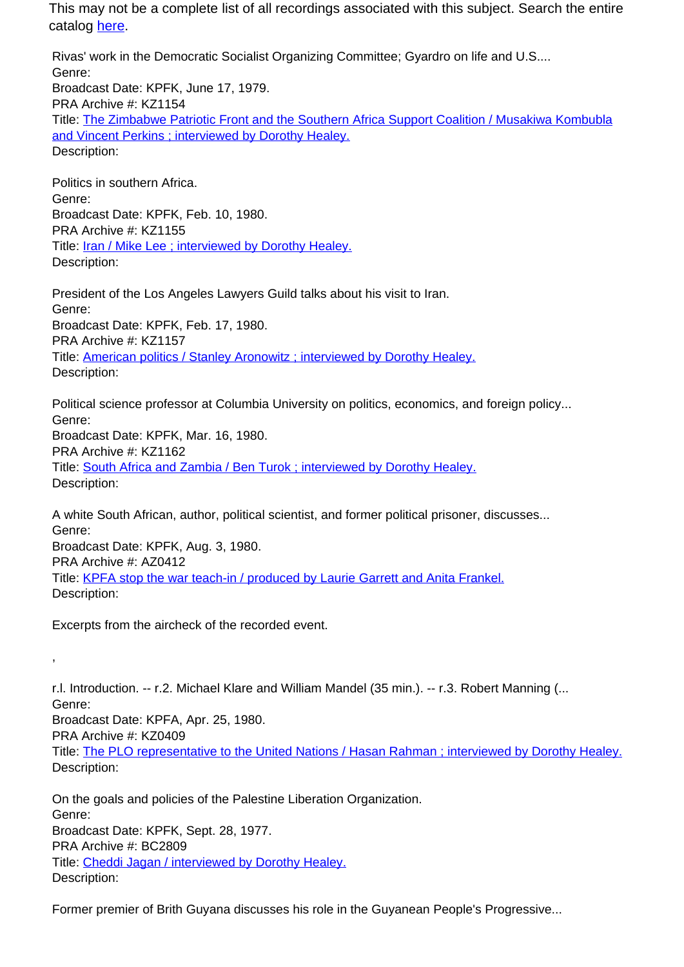Rivas' work in the Democratic Socialist Organizing Committee; Gyardro on life and U.S.... Genre: Broadcast Date: KPFK, June 17, 1979. PRA Archive #: KZ1154 Title: The Zimbabwe Patriotic Front and the Southern Africa Support Coalition / Musakiwa Kombubla and Vincent Perkins ; interviewed by Dorothy Healey. Description:

Politics in southern Africa. Genre: Broadcast Date: KPFK, Feb. 10, 1980. PRA Archive #: KZ1155 Title: **Iran / Mike Lee** ; interviewed by Dorothy Healey. Description:

President of the Los Angeles Lawyers Guild talks about his visit to Iran. Genre: Broadcast Date: KPFK, Feb. 17, 1980. PRA Archive #: KZ1157 Title: American politics / Stanley Aronowitz ; interviewed by Dorothy Healey. Description:

Political science professor at Columbia University on politics, economics, and foreign policy... Genre: Broadcast Date: KPFK, Mar. 16, 1980. PRA Archive #: KZ1162 Title: South Africa and Zambia / Ben Turok ; interviewed by Dorothy Healey. Description:

A white South African, author, political scientist, and former political prisoner, discusses... Genre: Broadcast Date: KPFK, Aug. 3, 1980. PRA Archive #: AZ0412 Title: KPFA stop the war teach-in / produced by Laurie Garrett and Anita Frankel. Description:

Excerpts from the aircheck of the recorded event.

,

r.l. Introduction. -- r.2. Michael Klare and William Mandel (35 min.). -- r.3. Robert Manning (... Genre: Broadcast Date: KPFA, Apr. 25, 1980. PRA Archive #: KZ0409 Title: The PLO representative to the United Nations / Hasan Rahman ; interviewed by Dorothy Healey. Description:

On the goals and policies of the Palestine Liberation Organization. Genre: Broadcast Date: KPFK, Sept. 28, 1977. PRA Archive #: BC2809 Title: Cheddi Jagan / interviewed by Dorothy Healey. Description:

Former premier of Brith Guyana discusses his role in the Guyanean People's Progressive...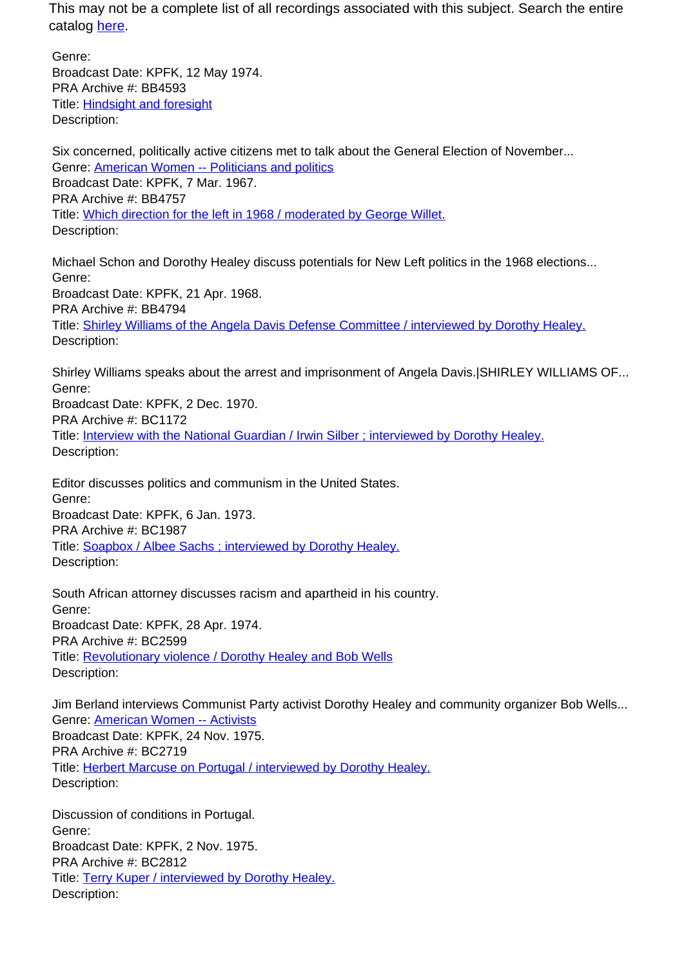Genre: Broadcast Date: KPFK, 12 May 1974. PRA Archive #: BB4593 Title: Hindsight and foresight Description:

Six concerned, politically active citizens met to talk about the General Election of November... Genre: American Women -- Politicians and politics Broadcast Date: KPFK, 7 Mar. 1967. PRA Archive #: BB4757 Title: Which direction for the left in 1968 / moderated by George Willet. Description:

Michael Schon and Dorothy Healey discuss potentials for New Left politics in the 1968 elections... Genre: Broadcast Date: KPFK, 21 Apr. 1968. PRA Archive #: BB4794 Title: Shirley Williams of the Angela Davis Defense Committee / interviewed by Dorothy Healey. Description:

Shirley Williams speaks about the arrest and imprisonment of Angela Davis.|SHIRLEY WILLIAMS OF... Genre: Broadcast Date: KPFK, 2 Dec. 1970. PRA Archive #: BC1172 Title: Interview with the National Guardian / Irwin Silber ; interviewed by Dorothy Healey. Description:

Editor discusses politics and communism in the United States. Genre: Broadcast Date: KPFK, 6 Jan. 1973. PRA Archive #: BC1987 Title: Soapbox / Albee Sachs ; interviewed by Dorothy Healey. Description:

South African attorney discusses racism and apartheid in his country. Genre: Broadcast Date: KPFK, 28 Apr. 1974. PRA Archive #: BC2599 Title: Revolutionary violence / Dorothy Healey and Bob Wells Description:

Jim Berland interviews Communist Party activist Dorothy Healey and community organizer Bob Wells... Genre: American Women -- Activists Broadcast Date: KPFK, 24 Nov. 1975. PRA Archive #: BC2719 Title: Herbert Marcuse on Portugal / interviewed by Dorothy Healey. Description:

Discussion of conditions in Portugal. Genre: Broadcast Date: KPFK, 2 Nov. 1975. PRA Archive #: BC2812 Title: Terry Kuper / interviewed by Dorothy Healey. Description: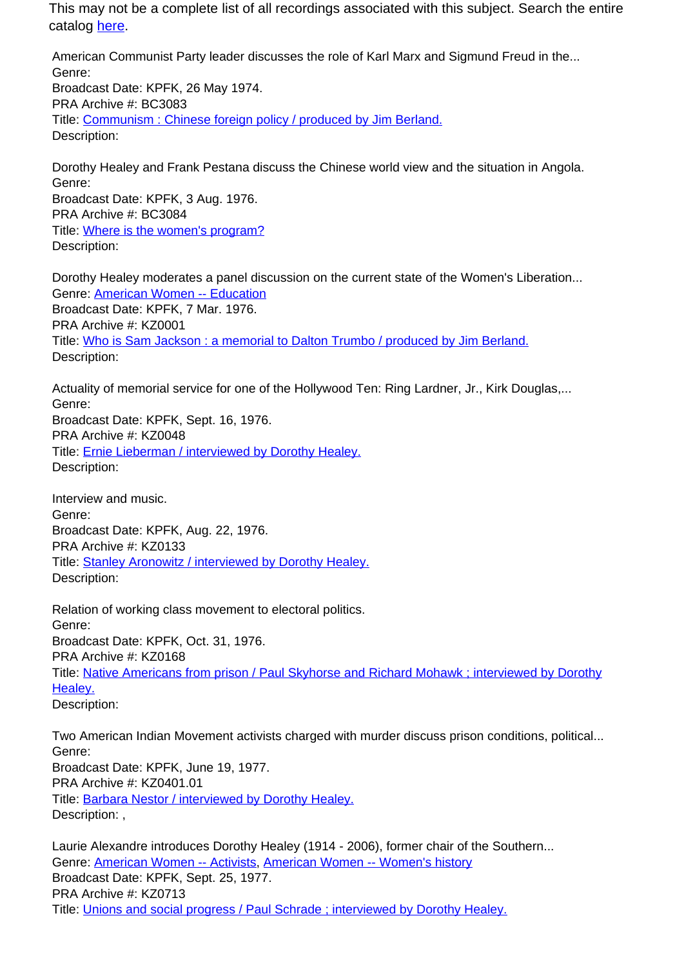American Communist Party leader discusses the role of Karl Marx and Sigmund Freud in the... Genre: Broadcast Date: KPFK, 26 May 1974. PRA Archive #: BC3083 Title: Communism : Chinese foreign policy / produced by Jim Berland. Description:

Dorothy Healey and Frank Pestana discuss the Chinese world view and the situation in Angola. Genre: Broadcast Date: KPFK, 3 Aug. 1976. PRA Archive #: BC3084 Title: Where is the women's program?

Description:

Dorothy Healey moderates a panel discussion on the current state of the Women's Liberation... Genre: American Women -- Education Broadcast Date: KPFK, 7 Mar. 1976. PRA Archive #: KZ0001 Title: Who is Sam Jackson : a memorial to Dalton Trumbo / produced by Jim Berland. Description:

Actuality of memorial service for one of the Hollywood Ten: Ring Lardner, Jr., Kirk Douglas,... Genre: Broadcast Date: KPFK, Sept. 16, 1976. PRA Archive #: KZ0048 Title: **Ernie Lieberman / interviewed by Dorothy Healey.** Description:

Interview and music. Genre: Broadcast Date: KPFK, Aug. 22, 1976. PRA Archive #: KZ0133 Title: Stanley Aronowitz / interviewed by Dorothy Healey. Description:

Relation of working class movement to electoral politics. Genre: Broadcast Date: KPFK, Oct. 31, 1976. PRA Archive #: KZ0168 Title: Native Americans from prison / Paul Skyhorse and Richard Mohawk ; interviewed by Dorothy Healey. Description:

Two American Indian Movement activists charged with murder discuss prison conditions, political... Genre: Broadcast Date: KPFK, June 19, 1977. PRA Archive #: KZ0401.01 Title: Barbara Nestor / interviewed by Dorothy Healey. Description: .

Laurie Alexandre introduces Dorothy Healey (1914 - 2006), former chair of the Southern... Genre: American Women -- Activists, American Women -- Women's history Broadcast Date: KPFK, Sept. 25, 1977. PRA Archive #: KZ0713 Title: Unions and social progress / Paul Schrade ; interviewed by Dorothy Healey.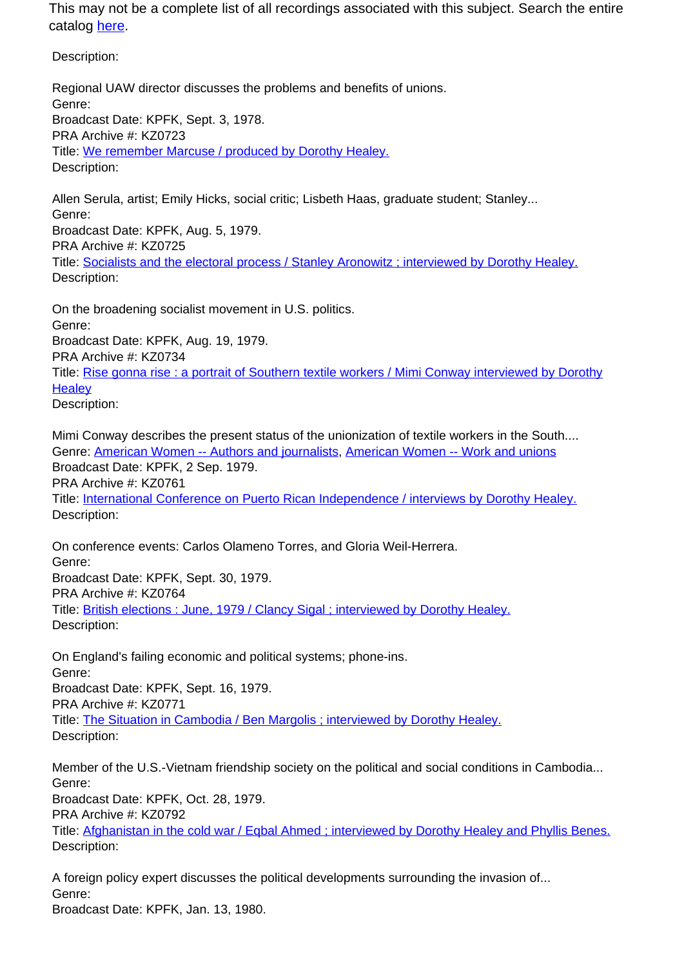Description:

Regional UAW director discusses the problems and benefits of unions. Genre: Broadcast Date: KPFK, Sept. 3, 1978. PRA Archive #: KZ0723 Title: We remember Marcuse / produced by Dorothy Healey. Description:

Allen Serula, artist; Emily Hicks, social critic; Lisbeth Haas, graduate student; Stanley... Genre: Broadcast Date: KPFK, Aug. 5, 1979. PRA Archive #: KZ0725 Title: Socialists and the electoral process / Stanley Aronowitz ; interviewed by Dorothy Healey. Description:

On the broadening socialist movement in U.S. politics. Genre: Broadcast Date: KPFK, Aug. 19, 1979. PRA Archive #: KZ0734 Title: Rise gonna rise : a portrait of Southern textile workers / Mimi Conway interviewed by Dorothy **Healey** Description:

Mimi Conway describes the present status of the unionization of textile workers in the South.... Genre: American Women -- Authors and journalists, American Women -- Work and unions Broadcast Date: KPFK, 2 Sep. 1979. PRA Archive #: KZ0761 Title: International Conference on Puerto Rican Independence / interviews by Dorothy Healey. Description:

On conference events: Carlos Olameno Torres, and Gloria Weil-Herrera. Genre: Broadcast Date: KPFK, Sept. 30, 1979. PRA Archive #: KZ0764 Title: British elections : June, 1979 / Clancy Sigal ; interviewed by Dorothy Healey. Description:

On England's failing economic and political systems; phone-ins. Genre: Broadcast Date: KPFK, Sept. 16, 1979. PRA Archive #: KZ0771 Title: The Situation in Cambodia / Ben Margolis ; interviewed by Dorothy Healey. Description:

Member of the U.S.-Vietnam friendship society on the political and social conditions in Cambodia... Genre:

Broadcast Date: KPFK, Oct. 28, 1979.

PRA Archive #: KZ0792

Title: Afghanistan in the cold war / Eqbal Ahmed ; interviewed by Dorothy Healey and Phyllis Benes. Description:

A foreign policy expert discusses the political developments surrounding the invasion of... Genre:

Broadcast Date: KPFK, Jan. 13, 1980.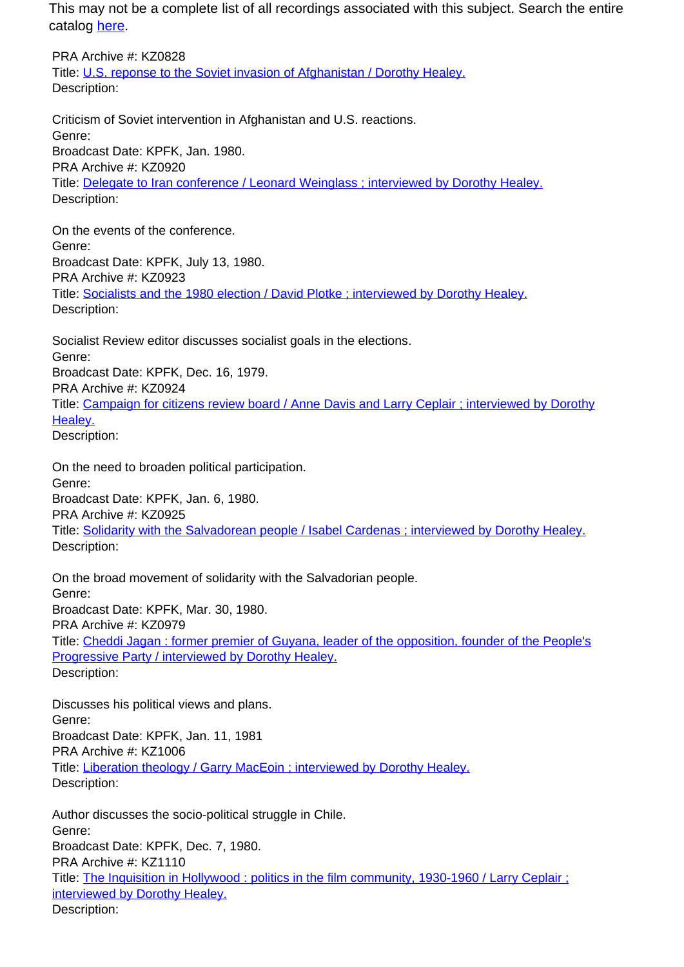PRA Archive #: KZ0828 Title: U.S. reponse to the Soviet invasion of Afghanistan / Dorothy Healey. Description:

Criticism of Soviet intervention in Afghanistan and U.S. reactions. Genre: Broadcast Date: KPFK, Jan. 1980. PRA Archive #: KZ0920 Title: Delegate to Iran conference / Leonard Weinglass ; interviewed by Dorothy Healey. Description:

On the events of the conference. Genre: Broadcast Date: KPFK, July 13, 1980. PRA Archive #: KZ0923 Title: Socialists and the 1980 election / David Plotke ; interviewed by Dorothy Healey. Description:

Socialist Review editor discusses socialist goals in the elections. Genre: Broadcast Date: KPFK, Dec. 16, 1979. PRA Archive #: KZ0924 Title: Campaign for citizens review board / Anne Davis and Larry Ceplair ; interviewed by Dorothy Healev. Description:

On the need to broaden political participation. Genre: Broadcast Date: KPFK, Jan. 6, 1980. PRA Archive #: KZ0925 Title: Solidarity with the Salvadorean people / Isabel Cardenas ; interviewed by Dorothy Healey. Description:

On the broad movement of solidarity with the Salvadorian people. Genre: Broadcast Date: KPFK, Mar. 30, 1980. PRA Archive #: KZ0979 Title: Cheddi Jagan : former premier of Guyana, leader of the opposition, founder of the People's Progressive Party / interviewed by Dorothy Healey. Description:

Discusses his political views and plans. Genre: Broadcast Date: KPFK, Jan. 11, 1981 PRA Archive #: KZ1006 Title: Liberation theology / Garry MacEoin ; interviewed by Dorothy Healey. Description:

Author discusses the socio-political struggle in Chile. Genre: Broadcast Date: KPFK, Dec. 7, 1980. PRA Archive #: KZ1110 Title: The Inquisition in Hollywood : politics in the film community, 1930-1960 / Larry Ceplair ; interviewed by Dorothy Healey. Description: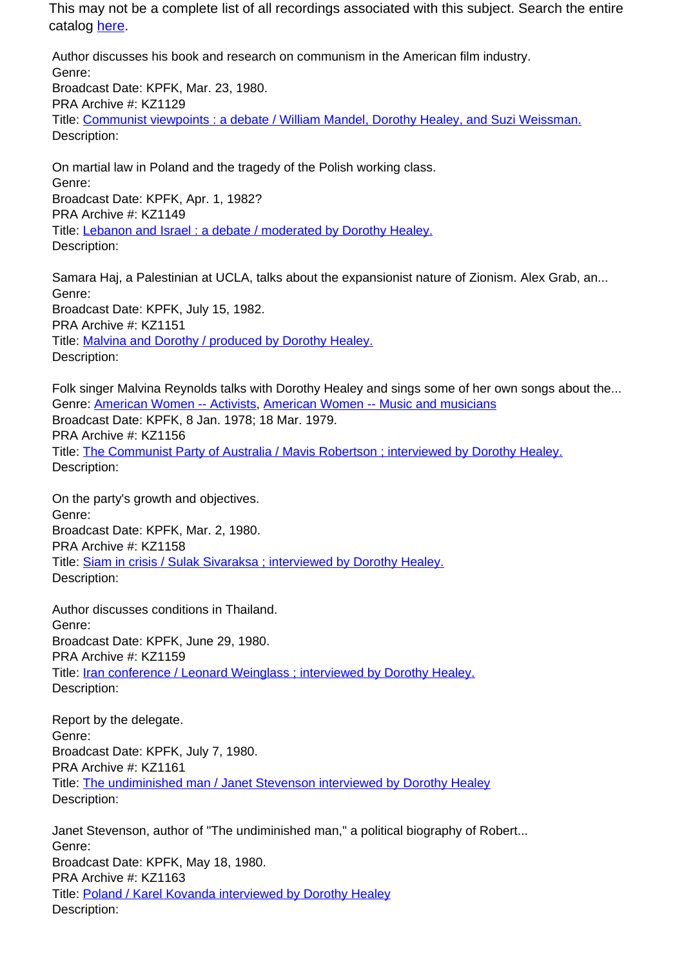Author discusses his book and research on communism in the American film industry. Genre: Broadcast Date: KPFK, Mar. 23, 1980. PRA Archive #: KZ1129 Title: Communist viewpoints : a debate / William Mandel, Dorothy Healey, and Suzi Weissman. Description:

On martial law in Poland and the tragedy of the Polish working class. Genre: Broadcast Date: KPFK, Apr. 1, 1982? PRA Archive #: KZ1149 Title: Lebanon and Israel : a debate / moderated by Dorothy Healey. Description:

Samara Haj, a Palestinian at UCLA, talks about the expansionist nature of Zionism. Alex Grab, an... Genre: Broadcast Date: KPFK, July 15, 1982. PRA Archive #: KZ1151 Title: Malvina and Dorothy / produced by Dorothy Healey. Description:

Folk singer Malvina Reynolds talks with Dorothy Healey and sings some of her own songs about the... Genre: American Women -- Activists, American Women -- Music and musicians Broadcast Date: KPFK, 8 Jan. 1978; 18 Mar. 1979. PRA Archive #: KZ1156 Title: The Communist Party of Australia / Mavis Robertson; interviewed by Dorothy Healey. Description:

On the party's growth and objectives. Genre: Broadcast Date: KPFK, Mar. 2, 1980. PRA Archive #: KZ1158 Title: Siam in crisis / Sulak Sivaraksa ; interviewed by Dorothy Healey. Description:

Author discusses conditions in Thailand. Genre: Broadcast Date: KPFK, June 29, 1980. PRA Archive #: KZ1159 Title: Iran conference / Leonard Weinglass ; interviewed by Dorothy Healey. Description:

Report by the delegate. Genre: Broadcast Date: KPFK, July 7, 1980. PRA Archive #: KZ1161 Title: The undiminished man / Janet Stevenson interviewed by Dorothy Healey Description:

Janet Stevenson, author of "The undiminished man," a political biography of Robert... Genre: Broadcast Date: KPFK, May 18, 1980. PRA Archive #: KZ1163 Title: Poland / Karel Kovanda interviewed by Dorothy Healey Description: